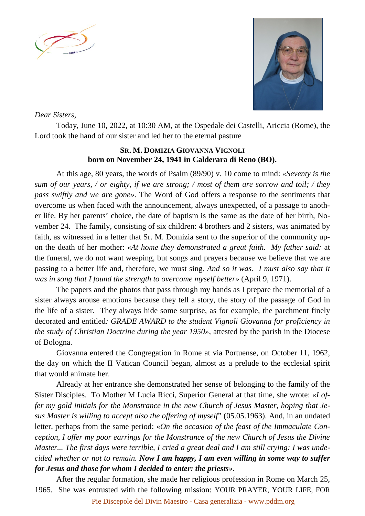



## *Dear Sisters,*

Today, June 10, 2022, at 10:30 AM, at the Ospedale dei Castelli, Ariccia (Rome), the Lord took the hand of our sister and led her to the eternal pasture

## **SR. M. DOMIZIA GIOVANNA VIGNOLI born on November 24, 1941 in Calderara di Reno (BO).**

At this age, 80 years, the words of Psalm (89/90) v. 10 come to mind: *«Seventy is the sum of our years, / or eighty, if we are strong; / most of them are sorrow and toil; / they pass swiftly and we are gone».* The Word of God offers a response to the sentiments that overcome us when faced with the announcement, always unexpected, of a passage to another life. By her parents' choice, the date of baptism is the same as the date of her birth, November 24. The family, consisting of six children: 4 brothers and 2 sisters, was animated by faith, as witnessed in a letter that Sr. M. Domizia sent to the superior of the community upon the death of her mother: «*At home they demonstrated a great faith. My father said:* at the funeral, we do not want weeping, but songs and prayers because we believe that we are passing to a better life and, therefore, we must sing. *And so it was. I must also say that it was in song that I found the strength to overcome myself better»* (April 9, 1971).

The papers and the photos that pass through my hands as I prepare the memorial of a sister always arouse emotions because they tell a story, the story of the passage of God in the life of a sister. They always hide some surprise, as for example, the parchment finely decorated and entitled*: GRADE AWARD to the student Vignoli Giovanna for proficiency in the study of Christian Doctrine during the year 1950»*, attested by the parish in the Diocese of Bologna.

Giovanna entered the Congregation in Rome at via Portuense, on October 11, 1962, the day on which the II Vatican Council began, almost as a prelude to the ecclesial spirit that would animate her.

Already at her entrance she demonstrated her sense of belonging to the family of the Sister Disciples. To Mother M Lucia Ricci, Superior General at that time, she wrote: «*I offer my gold initials for the Monstrance in the new Church of Jesus Master, hoping that Jesus Master is willing to accept also the offering of myself*" (05.05.1963). And, in an undated letter, perhaps from the same period: «*On the occasion of the feast of the Immaculate Conception, I offer my poor earrings for the Monstrance of the new Church of Jesus the Divine Master... The first days were terrible, I cried a great deal and I am still crying: I was undecided whether or not to remain. Now I am happy, I am even willing in some way to suffer for Jesus and those for whom I decided to enter: the priests».*

After the regular formation, she made her religious profession in Rome on March 25, 1965. She was entrusted with the following mission: YOUR PRAYER, YOUR LIFE, FOR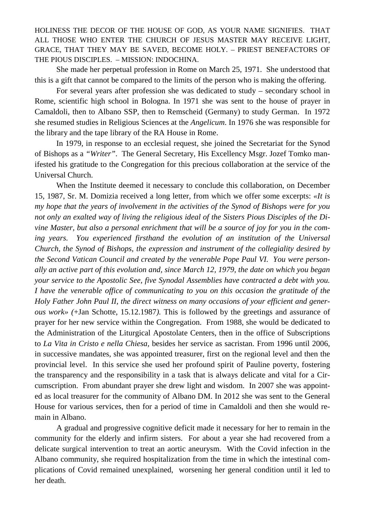HOLINESS THE DECOR OF THE HOUSE OF GOD, AS YOUR NAME SIGNIFIES. THAT ALL THOSE WHO ENTER THE CHURCH OF JESUS MASTER MAY RECEIVE LIGHT, GRACE, THAT THEY MAY BE SAVED, BECOME HOLY. – PRIEST BENEFACTORS OF THE PIOUS DISCIPLES. – MISSION: INDOCHINA.

She made her perpetual profession in Rome on March 25, 1971. She understood that this is a gift that cannot be compared to the limits of the person who is making the offering.

For several years after profession she was dedicated to study – secondary school in Rome, scientific high school in Bologna. In 1971 she was sent to the house of prayer in Camaldoli, then to Albano SSP, then to Remscheid (Germany) to study German. In 1972 she resumed studies in Religious Sciences at the *Angelicum*. In 1976 she was responsible for the library and the tape library of the RA House in Rome.

In 1979, in response to an ecclesial request, she joined the Secretariat for the Synod of Bishops as a *"Writer"*. The General Secretary, His Excellency Msgr. Jozef Tomko manifested his gratitude to the Congregation for this precious collaboration at the service of the Universal Church.

When the Institute deemed it necessary to conclude this collaboration, on December 15, 1987, Sr. M. Domizia received a long letter, from which we offer some excerpts: *«It is my hope that the years of involvement in the activities of the Synod of Bishops were for you not only an exalted way of living the religious ideal of the Sisters Pious Disciples of the Divine Master, but also a personal enrichment that will be a source of joy for you in the coming years. You experienced firsthand the evolution of an institution of the Universal Church, the Synod of Bishops, the expression and instrument of the collegiality desired by the Second Vatican Council and created by the venerable Pope Paul VI. You were personally an active part of this evolution and, since March 12, 1979, the date on which you began your service to the Apostolic See, five Synodal Assemblies have contracted a debt with you. I have the venerable office of communicating to you on this occasion the gratitude of the Holy Father John Paul II, the direct witness on many occasions of your efficient and generous work» (*+Jan Schotte, 15.12.1987*).* This is followed by the greetings and assurance of prayer for her new service within the Congregation. From 1988, she would be dedicated to the Administration of the Liturgical Apostolate Centers, then in the office of Subscriptions to *La Vita in Cristo e nella Chiesa,* besides her service as sacristan*.* From 1996 until 2006, in successive mandates, she was appointed treasurer, first on the regional level and then the provincial level. In this service she used her profound spirit of Pauline poverty, fostering the transparency and the responsibility in a task that is always delicate and vital for a Circumscription. From abundant prayer she drew light and wisdom. In 2007 she was appointed as local treasurer for the community of Albano DM. In 2012 she was sent to the General House for various services, then for a period of time in Camaldoli and then she would remain in Albano.

A gradual and progressive cognitive deficit made it necessary for her to remain in the community for the elderly and infirm sisters. For about a year she had recovered from a delicate surgical intervention to treat an aortic aneurysm. With the Covid infection in the Albano community, she required hospitalization from the time in which the intestinal complications of Covid remained unexplained, worsening her general condition until it led to her death.